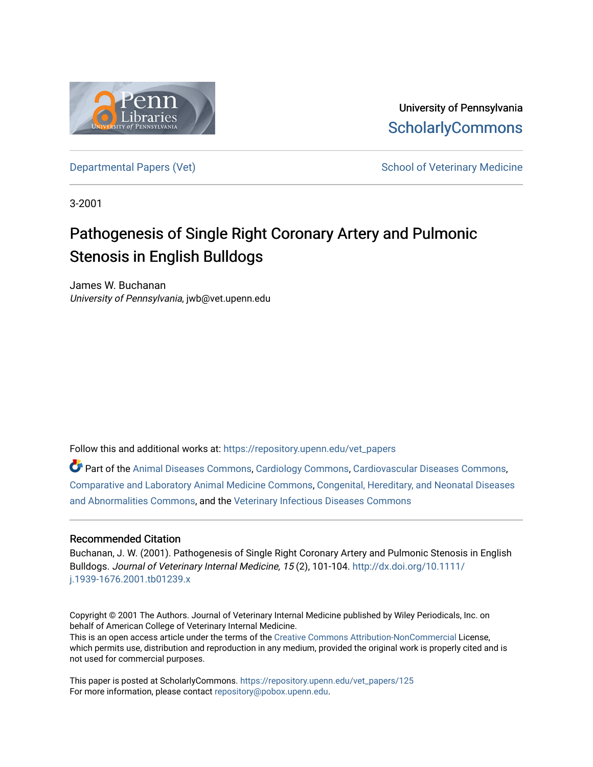

University of Pennsylvania **ScholarlyCommons** 

[Departmental Papers \(Vet\)](https://repository.upenn.edu/vet_papers) Network School of Veterinary Medicine

3-2001

# Pathogenesis of Single Right Coronary Artery and Pulmonic Stenosis in English Bulldogs

James W. Buchanan University of Pennsylvania, jwb@vet.upenn.edu

Follow this and additional works at: [https://repository.upenn.edu/vet\\_papers](https://repository.upenn.edu/vet_papers?utm_source=repository.upenn.edu%2Fvet_papers%2F125&utm_medium=PDF&utm_campaign=PDFCoverPages) 

Part of the [Animal Diseases Commons,](http://network.bepress.com/hgg/discipline/918?utm_source=repository.upenn.edu%2Fvet_papers%2F125&utm_medium=PDF&utm_campaign=PDFCoverPages) [Cardiology Commons](http://network.bepress.com/hgg/discipline/683?utm_source=repository.upenn.edu%2Fvet_papers%2F125&utm_medium=PDF&utm_campaign=PDFCoverPages), [Cardiovascular Diseases Commons,](http://network.bepress.com/hgg/discipline/929?utm_source=repository.upenn.edu%2Fvet_papers%2F125&utm_medium=PDF&utm_campaign=PDFCoverPages) [Comparative and Laboratory Animal Medicine Commons](http://network.bepress.com/hgg/discipline/768?utm_source=repository.upenn.edu%2Fvet_papers%2F125&utm_medium=PDF&utm_campaign=PDFCoverPages), [Congenital, Hereditary, and Neonatal Diseases](http://network.bepress.com/hgg/discipline/971?utm_source=repository.upenn.edu%2Fvet_papers%2F125&utm_medium=PDF&utm_campaign=PDFCoverPages)  [and Abnormalities Commons,](http://network.bepress.com/hgg/discipline/971?utm_source=repository.upenn.edu%2Fvet_papers%2F125&utm_medium=PDF&utm_campaign=PDFCoverPages) and the [Veterinary Infectious Diseases Commons](http://network.bepress.com/hgg/discipline/770?utm_source=repository.upenn.edu%2Fvet_papers%2F125&utm_medium=PDF&utm_campaign=PDFCoverPages) 

## Recommended Citation

Buchanan, J. W. (2001). Pathogenesis of Single Right Coronary Artery and Pulmonic Stenosis in English Bulldogs. Journal of Veterinary Internal Medicine, 15 (2), 101-104. [http://dx.doi.org/10.1111/](http://dx.doi.org/10.1111/j.1939-1676.2001.tb01239.x) [j.1939-1676.2001.tb01239.x](http://dx.doi.org/10.1111/j.1939-1676.2001.tb01239.x) 

Copyright © 2001 The Authors. Journal of Veterinary Internal Medicine published by Wiley Periodicals, Inc. on behalf of American College of Veterinary Internal Medicine.

This is an open access article under the terms of the [Creative Commons Attribution-NonCommercial](http://creativecommons.org/licenses/by-nc/4.0/) License, which permits use, distribution and reproduction in any medium, provided the original work is properly cited and is not used for commercial purposes.

This paper is posted at ScholarlyCommons. [https://repository.upenn.edu/vet\\_papers/125](https://repository.upenn.edu/vet_papers/125) For more information, please contact [repository@pobox.upenn.edu.](mailto:repository@pobox.upenn.edu)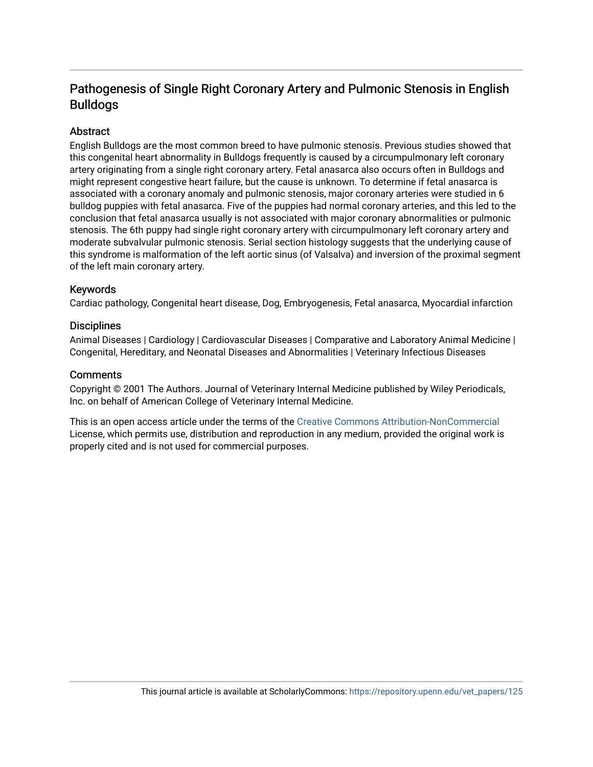## Pathogenesis of Single Right Coronary Artery and Pulmonic Stenosis in English Bulldogs

## Abstract

English Bulldogs are the most common breed to have pulmonic stenosis. Previous studies showed that this congenital heart abnormality in Bulldogs frequently is caused by a circumpulmonary left coronary artery originating from a single right coronary artery. Fetal anasarca also occurs often in Bulldogs and might represent congestive heart failure, but the cause is unknown. To determine if fetal anasarca is associated with a coronary anomaly and pulmonic stenosis, major coronary arteries were studied in 6 bulldog puppies with fetal anasarca. Five of the puppies had normal coronary arteries, and this led to the conclusion that fetal anasarca usually is not associated with major coronary abnormalities or pulmonic stenosis. The 6th puppy had single right coronary artery with circumpulmonary left coronary artery and moderate subvalvular pulmonic stenosis. Serial section histology suggests that the underlying cause of this syndrome is malformation of the left aortic sinus (of Valsalva) and inversion of the proximal segment of the left main coronary artery.

## Keywords

Cardiac pathology, Congenital heart disease, Dog, Embryogenesis, Fetal anasarca, Myocardial infarction

## **Disciplines**

Animal Diseases | Cardiology | Cardiovascular Diseases | Comparative and Laboratory Animal Medicine | Congenital, Hereditary, and Neonatal Diseases and Abnormalities | Veterinary Infectious Diseases

## **Comments**

Copyright © 2001 The Authors. Journal of Veterinary Internal Medicine published by Wiley Periodicals, Inc. on behalf of American College of Veterinary Internal Medicine.

This is an open access article under the terms of the [Creative Commons Attribution-NonCommercial](http://creativecommons.org/licenses/by-nc/4.0/)  License, which permits use, distribution and reproduction in any medium, provided the original work is properly cited and is not used for commercial purposes.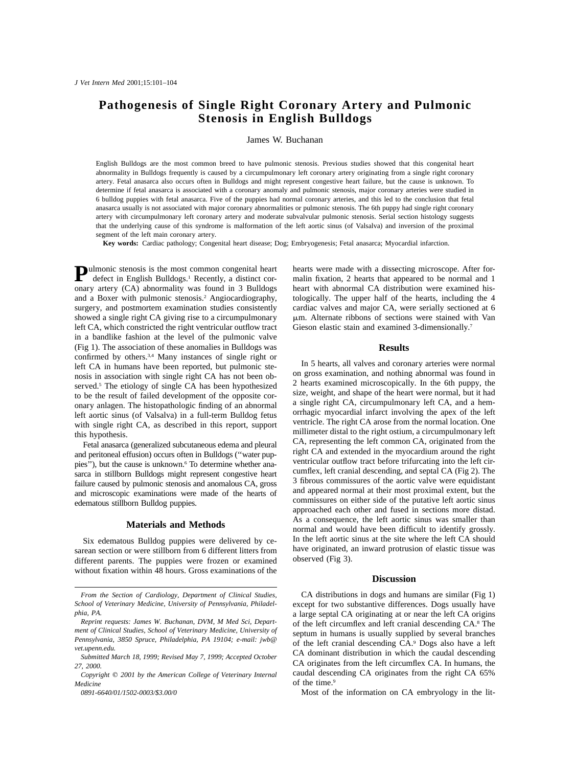## **Pathogenesis of Single Right Coronary Artery and Pulmonic Stenosis in English Bulldogs**

#### James W. Buchanan

English Bulldogs are the most common breed to have pulmonic stenosis. Previous studies showed that this congenital heart abnormality in Bulldogs frequently is caused by a circumpulmonary left coronary artery originating from a single right coronary artery. Fetal anasarca also occurs often in Bulldogs and might represent congestive heart failure, but the cause is unknown. To determine if fetal anasarca is associated with a coronary anomaly and pulmonic stenosis, major coronary arteries were studied in 6 bulldog puppies with fetal anasarca. Five of the puppies had normal coronary arteries, and this led to the conclusion that fetal anasarca usually is not associated with major coronary abnormalities or pulmonic stenosis. The 6th puppy had single right coronary artery with circumpulmonary left coronary artery and moderate subvalvular pulmonic stenosis. Serial section histology suggests that the underlying cause of this syndrome is malformation of the left aortic sinus (of Valsalva) and inversion of the proximal segment of the left main coronary artery.

**Key words:** Cardiac pathology; Congenital heart disease; Dog; Embryogenesis; Fetal anasarca; Myocardial infarction.

**Pulmonic stenosis is the most common congenital heart** defect in English Bulldogs.<sup>1</sup> Recently, a distinct coronary artery (CA) abnormality was found in 3 Bulldogs and a Boxer with pulmonic stenosis.2 Angiocardiography, surgery, and postmortem examination studies consistently showed a single right CA giving rise to a circumpulmonary left CA, which constricted the right ventricular outflow tract in a bandlike fashion at the level of the pulmonic valve (Fig 1). The association of these anomalies in Bulldogs was confirmed by others.3,4 Many instances of single right or left CA in humans have been reported, but pulmonic stenosis in association with single right CA has not been observed.<sup>5</sup> The etiology of single CA has been hypothesized to be the result of failed development of the opposite coronary anlagen. The histopathologic finding of an abnormal left aortic sinus (of Valsalva) in a full-term Bulldog fetus with single right CA, as described in this report, support this hypothesis.

Fetal anasarca (generalized subcutaneous edema and pleural and peritoneal effusion) occurs often in Bulldogs (''water puppies"), but the cause is unknown.<sup>6</sup> To determine whether anasarca in stillborn Bulldogs might represent congestive heart failure caused by pulmonic stenosis and anomalous CA, gross and microscopic examinations were made of the hearts of edematous stillborn Bulldog puppies.

#### **Materials and Methods**

Six edematous Bulldog puppies were delivered by cesarean section or were stillborn from 6 different litters from different parents. The puppies were frozen or examined without fixation within 48 hours. Gross examinations of the

*0891-6640/01/1502-0003/\$3.00/0*

hearts were made with a dissecting microscope. After formalin fixation, 2 hearts that appeared to be normal and 1 heart with abnormal CA distribution were examined histologically. The upper half of the hearts, including the 4 cardiac valves and major CA, were serially sectioned at 6 m. Alternate ribbons of sections were stained with Van Gieson elastic stain and examined 3-dimensionally.7

#### **Results**

In 5 hearts, all valves and coronary arteries were normal on gross examination, and nothing abnormal was found in 2 hearts examined microscopically. In the 6th puppy, the size, weight, and shape of the heart were normal, but it had a single right CA, circumpulmonary left CA, and a hemorrhagic myocardial infarct involving the apex of the left ventricle. The right CA arose from the normal location. One millimeter distal to the right ostium, a circumpulmonary left CA, representing the left common CA, originated from the right CA and extended in the myocardium around the right ventricular outflow tract before trifurcating into the left circumflex, left cranial descending, and septal CA (Fig 2). The 3 fibrous commissures of the aortic valve were equidistant and appeared normal at their most proximal extent, but the commissures on either side of the putative left aortic sinus approached each other and fused in sections more distad. As a consequence, the left aortic sinus was smaller than normal and would have been difficult to identify grossly. In the left aortic sinus at the site where the left CA should have originated, an inward protrusion of elastic tissue was observed (Fig 3).

#### **Discussion**

CA distributions in dogs and humans are similar (Fig 1) except for two substantive differences. Dogs usually have a large septal CA originating at or near the left CA origins of the left circumflex and left cranial descending CA.8 The septum in humans is usually supplied by several branches of the left cranial descending CA.9 Dogs also have a left CA dominant distribution in which the caudal descending CA originates from the left circumflex CA. In humans, the caudal descending CA originates from the right CA 65% of the time.<sup>9</sup>

Most of the information on CA embryology in the lit-

*From the Section of Cardiology, Department of Clinical Studies, School of Veterinary Medicine, University of Pennsylvania, Philadelphia, PA.*

*Reprint requests: James W. Buchanan, DVM, M Med Sci, Department of Clinical Studies, School of Veterinary Medicine, University of Pennsylvania, 3850 Spruce, Philadelphia, PA 19104; e-mail: jwb@ vet.upenn.edu.*

*Submitted March 18, 1999; Revised May 7, 1999; Accepted October 27, 2000.*

*Copyright 2001 by the American College of Veterinary Internal Medicine*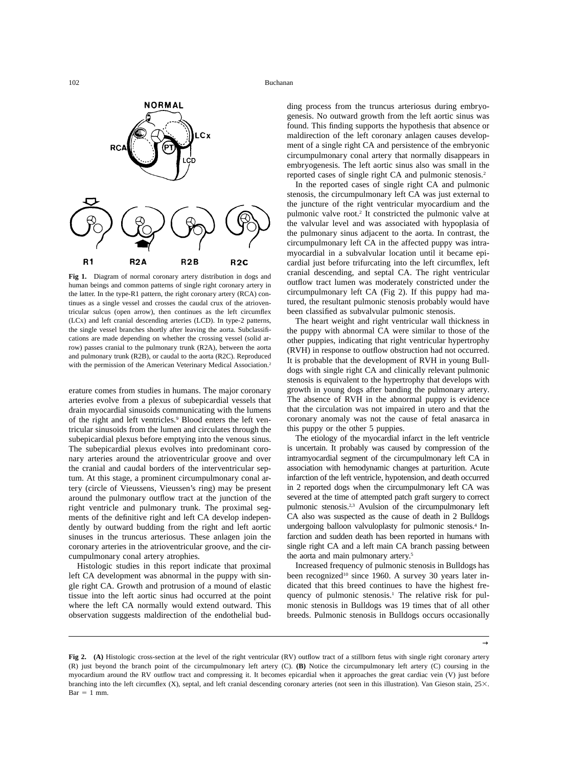

human beings and common patterns of single right coronary artery in the latter. In the type-R1 pattern, the right coronary artery (RCA) continues as a single vessel and crosses the caudal crux of the atrioventricular sulcus (open arrow), then continues as the left circumflex (LCx) and left cranial descending arteries (LCD). In type-2 patterns, the single vessel branches shortly after leaving the aorta. Subclassifications are made depending on whether the crossing vessel (solid arrow) passes cranial to the pulmonary trunk (R2A), between the aorta and pulmonary trunk (R2B), or caudal to the aorta (R2C). Reproduced with the permission of the American Veterinary Medical Association.<sup>2</sup>

erature comes from studies in humans. The major coronary arteries evolve from a plexus of subepicardial vessels that drain myocardial sinusoids communicating with the lumens of the right and left ventricles.9 Blood enters the left ventricular sinusoids from the lumen and circulates through the subepicardial plexus before emptying into the venous sinus. The subepicardial plexus evolves into predominant coronary arteries around the atrioventricular groove and over the cranial and caudal borders of the interventricular septum. At this stage, a prominent circumpulmonary conal artery (circle of Vieussens, Vieussen's ring) may be present around the pulmonary outflow tract at the junction of the right ventricle and pulmonary trunk. The proximal segments of the definitive right and left CA develop independently by outward budding from the right and left aortic sinuses in the truncus arteriosus. These anlagen join the coronary arteries in the atrioventricular groove, and the circumpulmonary conal artery atrophies.

Histologic studies in this report indicate that proximal left CA development was abnormal in the puppy with single right CA. Growth and protrusion of a mound of elastic tissue into the left aortic sinus had occurred at the point where the left CA normally would extend outward. This observation suggests maldirection of the endothelial budding process from the truncus arteriosus during embryogenesis. No outward growth from the left aortic sinus was found. This finding supports the hypothesis that absence or maldirection of the left coronary anlagen causes development of a single right CA and persistence of the embryonic circumpulmonary conal artery that normally disappears in embryogenesis. The left aortic sinus also was small in the reported cases of single right CA and pulmonic stenosis.2

In the reported cases of single right CA and pulmonic stenosis, the circumpulmonary left CA was just external to the juncture of the right ventricular myocardium and the pulmonic valve root.2 It constricted the pulmonic valve at the valvular level and was associated with hypoplasia of the pulmonary sinus adjacent to the aorta. In contrast, the circumpulmonary left CA in the affected puppy was intramyocardial in a subvalvular location until it became epicardial just before trifurcating into the left circumflex, left cranial descending, and septal CA. The right ventricular outflow tract lumen was moderately constricted under the circumpulmonary left CA (Fig 2). If this puppy had matured, the resultant pulmonic stenosis probably would have been classified as subvalvular pulmonic stenosis.

The heart weight and right ventricular wall thickness in the puppy with abnormal CA were similar to those of the other puppies, indicating that right ventricular hypertrophy (RVH) in response to outflow obstruction had not occurred. It is probable that the development of RVH in young Bulldogs with single right CA and clinically relevant pulmonic stenosis is equivalent to the hypertrophy that develops with growth in young dogs after banding the pulmonary artery. The absence of RVH in the abnormal puppy is evidence that the circulation was not impaired in utero and that the coronary anomaly was not the cause of fetal anasarca in this puppy or the other 5 puppies.

The etiology of the myocardial infarct in the left ventricle is uncertain. It probably was caused by compression of the intramyocardial segment of the circumpulmonary left CA in association with hemodynamic changes at parturition. Acute infarction of the left ventricle, hypotension, and death occurred in 2 reported dogs when the circumpulmonary left CA was severed at the time of attempted patch graft surgery to correct pulmonic stenosis.2,3 Avulsion of the circumpulmonary left CA also was suspected as the cause of death in 2 Bulldogs undergoing balloon valvuloplasty for pulmonic stenosis.4 Infarction and sudden death has been reported in humans with single right CA and a left main CA branch passing between the aorta and main pulmonary artery.5

Increased frequency of pulmonic stenosis in Bulldogs has been recognized<sup>10</sup> since 1960. A survey 30 years later indicated that this breed continues to have the highest frequency of pulmonic stenosis.<sup>1</sup> The relative risk for pulmonic stenosis in Bulldogs was 19 times that of all other breeds. Pulmonic stenosis in Bulldogs occurs occasionally

 $\rightarrow$ 

**Fig 2. (A)** Histologic cross-section at the level of the right ventricular (RV) outflow tract of a stillborn fetus with single right coronary artery (R) just beyond the branch point of the circumpulmonary left artery (C). **(B)** Notice the circumpulmonary left artery (C) coursing in the myocardium around the RV outflow tract and compressing it. It becomes epicardial when it approaches the great cardiac vein (V) just before branching into the left circumflex (X), septal, and left cranial descending coronary arteries (not seen in this illustration). Van Gieson stain, 25×.  $Bar = 1$  mm.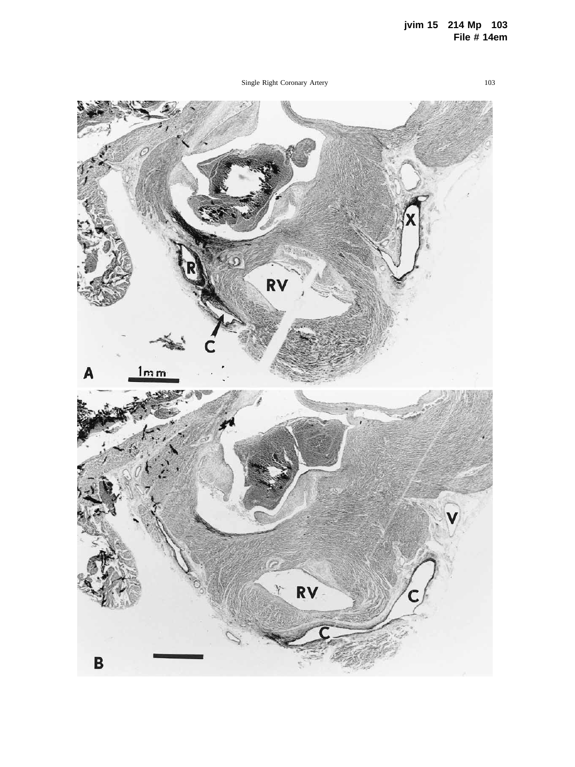### Single Right Coronary Artery